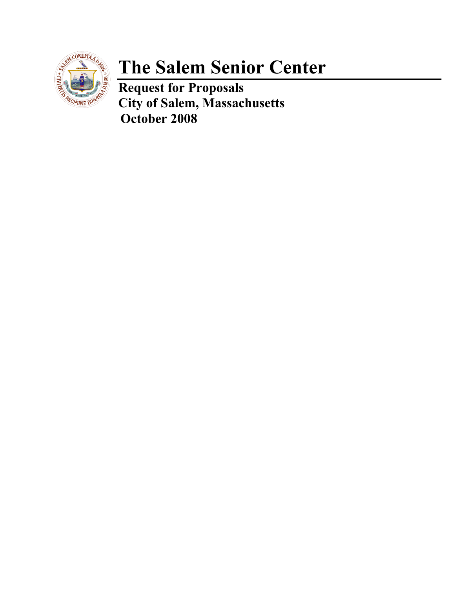

# **The Salem Senior Center**

**Request for Proposals City of Salem, Massachusetts October 2008**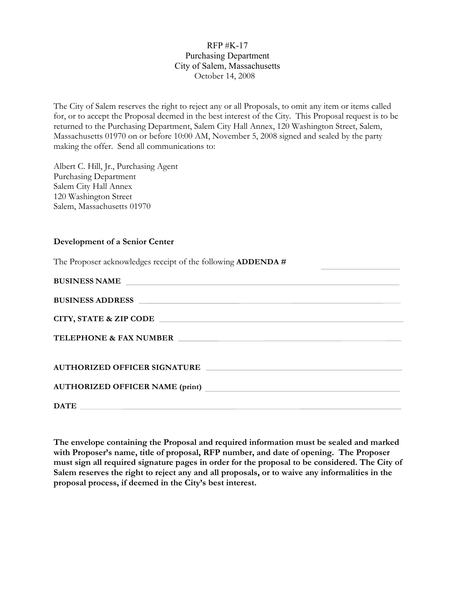#### RFP #K-17 Purchasing Department City of Salem, Massachusetts October 14, 2008

The City of Salem reserves the right to reject any or all Proposals, to omit any item or items called for, or to accept the Proposal deemed in the best interest of the City. This Proposal request is to be returned to the Purchasing Department, Salem City Hall Annex, 120 Washington Street, Salem, Massachusetts 01970 on or before 10:00 AM, November 5, 2008 signed and sealed by the party making the offer. Send all communications to:

Albert C. Hill, Jr., Purchasing Agent Purchasing Department Salem City Hall Annex 120 Washington Street Salem, Massachusetts 01970

#### **Development of a Senior Center**

The Proposer acknowledges receipt of the following **ADDENDA #**

| <b>BUSINESS NAME</b>                                                    |
|-------------------------------------------------------------------------|
|                                                                         |
|                                                                         |
| TELEPHONE & FAX NUMBER <b>And Account the CONSTRAINING CONSTRAINING</b> |
| AUTHORIZED OFFICER SIGNATURE                                            |
| AUTHORIZED OFFICER NAME (print)<br><u> </u>                             |
|                                                                         |

**The envelope containing the Proposal and required information must be sealed and marked with Proposer's name, title of proposal, RFP number, and date of opening. The Proposer must sign all required signature pages in order for the proposal to be considered. The City of Salem reserves the right to reject any and all proposals, or to waive any informalities in the proposal process, if deemed in the City's best interest.**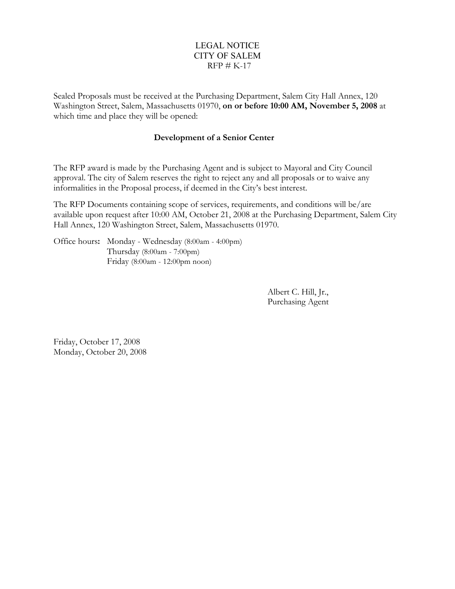#### LEGAL NOTICE CITY OF SALEM  $RFP \# K-17$

Sealed Proposals must be received at the Purchasing Department, Salem City Hall Annex, 120 Washington Street, Salem, Massachusetts 01970, **on or before 10:00 AM, November 5, 2008** at which time and place they will be opened:

#### **Development of a Senior Center**

The RFP award is made by the Purchasing Agent and is subject to Mayoral and City Council approval. The city of Salem reserves the right to reject any and all proposals or to waive any informalities in the Proposal process, if deemed in the City's best interest.

The RFP Documents containing scope of services, requirements, and conditions will be/are available upon request after 10:00 AM, October 21, 2008 at the Purchasing Department, Salem City Hall Annex, 120 Washington Street, Salem, Massachusetts 01970.

Office hours**:** Monday - Wednesday (8:00am - 4:00pm) Thursday (8:00am - 7:00pm) Friday (8:00am - 12:00pm noon)

> Albert C. Hill, Jr., Purchasing Agent

Friday, October 17, 2008 Monday, October 20, 2008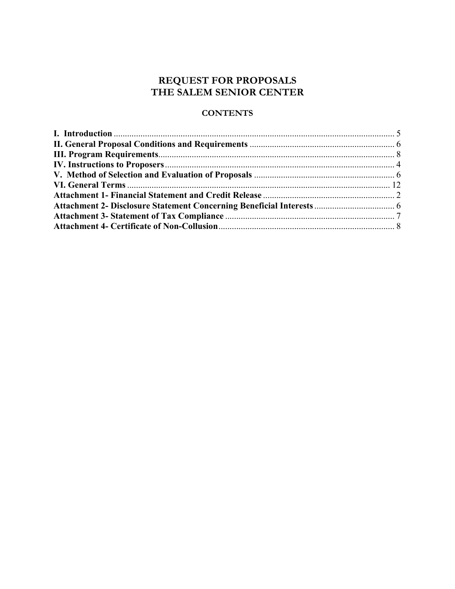#### **REQUEST FOR PROPOSALS THE SALEM SENIOR CENTER**

#### **CONTENTS**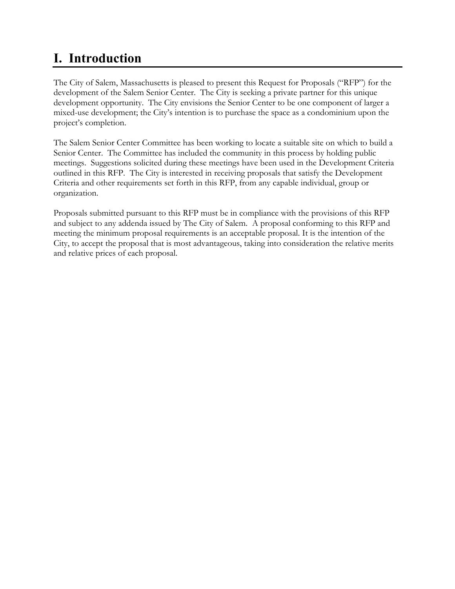# **I. Introduction**

The City of Salem, Massachusetts is pleased to present this Request for Proposals ("RFP") for the development of the Salem Senior Center. The City is seeking a private partner for this unique development opportunity. The City envisions the Senior Center to be one component of larger a mixed-use development; the City's intention is to purchase the space as a condominium upon the project's completion.

The Salem Senior Center Committee has been working to locate a suitable site on which to build a Senior Center. The Committee has included the community in this process by holding public meetings. Suggestions solicited during these meetings have been used in the Development Criteria outlined in this RFP. The City is interested in receiving proposals that satisfy the Development Criteria and other requirements set forth in this RFP, from any capable individual, group or organization.

Proposals submitted pursuant to this RFP must be in compliance with the provisions of this RFP and subject to any addenda issued by The City of Salem. A proposal conforming to this RFP and meeting the minimum proposal requirements is an acceptable proposal. It is the intention of the City, to accept the proposal that is most advantageous, taking into consideration the relative merits and relative prices of each proposal.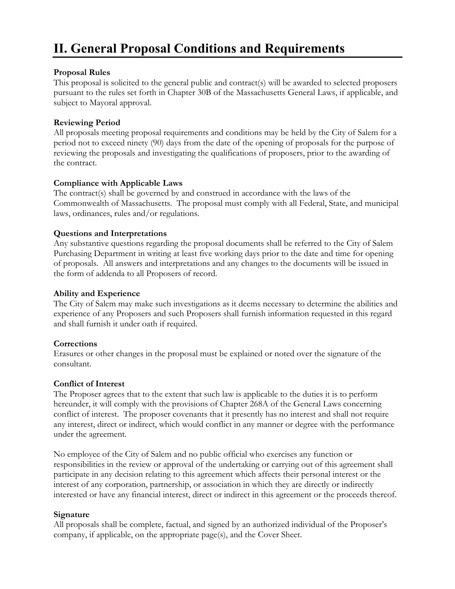# **II. General Proposal Conditions and Requirements**

#### **Proposal Rules**

This proposal is solicited to the general public and contract(s) will be awarded to selected proposers pursuant to the rules set forth in Chapter 30B of the Massachusetts General Laws, if applicable, and subject to Mayoral approval.

#### **Reviewing Period**

All proposals meeting proposal requirements and conditions may be held by the City of Salem for a period not to exceed ninety (90) days from the date of the opening of proposals for the purpose of reviewing the proposals and investigating the qualifications of proposers, prior to the awarding of the contract.

#### **Compliance with Applicable Laws**

The contract(s) shall be governed by and construed in accordance with the laws of the Commonwealth of Massachusetts. The proposal must comply with all Federal, State, and municipal laws, ordinances, rules and/or regulations.

#### **Questions and Interpretations**

Any substantive questions regarding the proposal documents shall be referred to the City of Salem Purchasing Department in writing at least five working days prior to the date and time for opening of proposals. All answers and interpretations and any changes to the documents will be issued in the form of addenda to all Proposers of record.

#### **Ability and Experience**

The City of Salem may make such investigations as it deems necessary to determine the abilities and experience of any Proposers and such Proposers shall furnish information requested in this regard and shall furnish it under oath if required.

#### **Corrections**

Erasures or other changes in the proposal must be explained or noted over the signature of the consultant.

#### **Conflict of Interest**

The Proposer agrees that to the extent that such law is applicable to the duties it is to perform hereunder, it will comply with the provisions of Chapter 268A of the General Laws concerning conflict of interest. The proposer covenants that it presently has no interest and shall not require any interest, direct or indirect, which would conflict in any manner or degree with the performance under the agreement.

No employee of the City of Salem and no public official who exercises any function or responsibilities in the review or approval of the undertaking or carrying out of this agreement shall participate in any decision relating to this agreement which affects their personal interest or the interest of any corporation, partnership, or association in which they are directly or indirectly interested or have any financial interest, direct or indirect in this agreement or the proceeds thereof.

#### **Signature**

All proposals shall be complete, factual, and signed by an authorized individual of the Proposer's company, if applicable, on the appropriate page(s), and the Cover Sheet.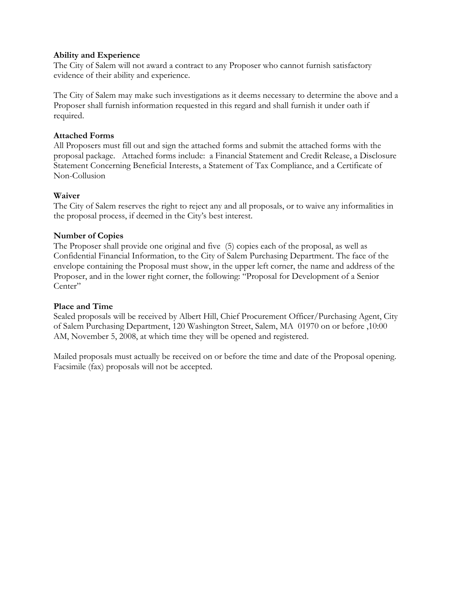#### **Ability and Experience**

The City of Salem will not award a contract to any Proposer who cannot furnish satisfactory evidence of their ability and experience.

The City of Salem may make such investigations as it deems necessary to determine the above and a Proposer shall furnish information requested in this regard and shall furnish it under oath if required.

#### **Attached Forms**

All Proposers must fill out and sign the attached forms and submit the attached forms with the proposal package. Attached forms include: a Financial Statement and Credit Release, a Disclosure Statement Concerning Beneficial Interests, a Statement of Tax Compliance, and a Certificate of Non-Collusion

#### **Waiver**

The City of Salem reserves the right to reject any and all proposals, or to waive any informalities in the proposal process, if deemed in the City's best interest.

#### **Number of Copies**

The Proposer shall provide one original and five (5) copies each of the proposal, as well as Confidential Financial Information, to the City of Salem Purchasing Department. The face of the envelope containing the Proposal must show, in the upper left corner, the name and address of the Proposer, and in the lower right corner, the following: "Proposal for Development of a Senior Center"

#### **Place and Time**

Sealed proposals will be received by Albert Hill, Chief Procurement Officer/Purchasing Agent, City of Salem Purchasing Department, 120 Washington Street, Salem, MA 01970 on or before ,10:00 AM, November 5, 2008, at which time they will be opened and registered.

Mailed proposals must actually be received on or before the time and date of the Proposal opening. Facsimile (fax) proposals will not be accepted.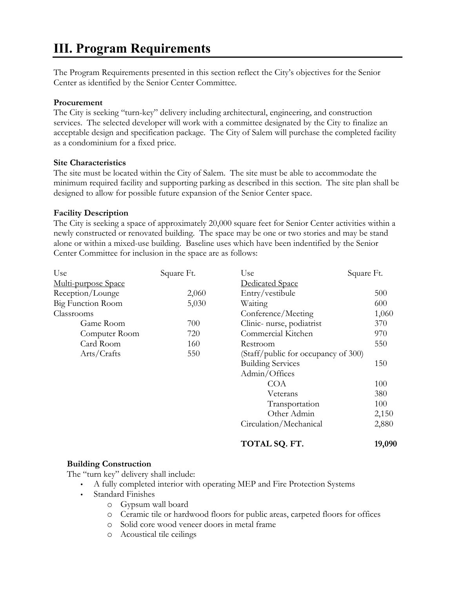### **III. Program Requirements**

The Program Requirements presented in this section reflect the City's objectives for the Senior Center as identified by the Senior Center Committee.

#### **Procurement**

The City is seeking "turn-key" delivery including architectural, engineering, and construction services. The selected developer will work with a committee designated by the City to finalize an acceptable design and specification package. The City of Salem will purchase the completed facility as a condominium for a fixed price.

#### **Site Characteristics**

The site must be located within the City of Salem. The site must be able to accommodate the minimum required facility and supporting parking as described in this section. The site plan shall be designed to allow for possible future expansion of the Senior Center space.

#### **Facility Description**

The City is seeking a space of approximately 20,000 square feet for Senior Center activities within a newly constructed or renovated building. The space may be one or two stories and may be stand alone or within a mixed-use building. Baseline uses which have been indentified by the Senior Center Committee for inclusion in the space are as follows:

| Use                      | Square Ft. | Use                                 | Square Ft. |
|--------------------------|------------|-------------------------------------|------------|
| Multi-purpose Space      |            | Dedicated Space                     |            |
| Reception/Lounge         | 2,060      | Entry/vestibule                     | 500        |
| <b>Big Function Room</b> | 5,030      | Waiting                             | 600        |
| Classrooms               |            | Conference/Meeting                  | 1,060      |
| Game Room                | 700        | Clinic-nurse, podiatrist            | 370        |
| Computer Room            | 720        | Commercial Kitchen                  | 970        |
| Card Room                | 160        | Restroom                            | 550        |
| Arts/Crafts              | 550        | (Staff/public for occupancy of 300) |            |
|                          |            | <b>Building Services</b>            | 150        |
|                          |            | Admin/Offices                       |            |
|                          |            | <b>COA</b>                          | 100        |
|                          |            | Veterans                            | 380        |
|                          |            | Transportation                      | 100        |
|                          |            | Other Admin                         | 2,150      |
|                          |            | Circulation/Mechanical              | 2,880      |
|                          |            |                                     |            |

#### **TOTAL SQ. FT. 19,090**

#### **Building Construction**

The "turn key" delivery shall include:

- A fully completed interior with operating MEP and Fire Protection Systems
- Standard Finishes
	- o Gypsum wall board
	- o Ceramic tile or hardwood floors for public areas, carpeted floors for offices
	- o Solid core wood veneer doors in metal frame
	- o Acoustical tile ceilings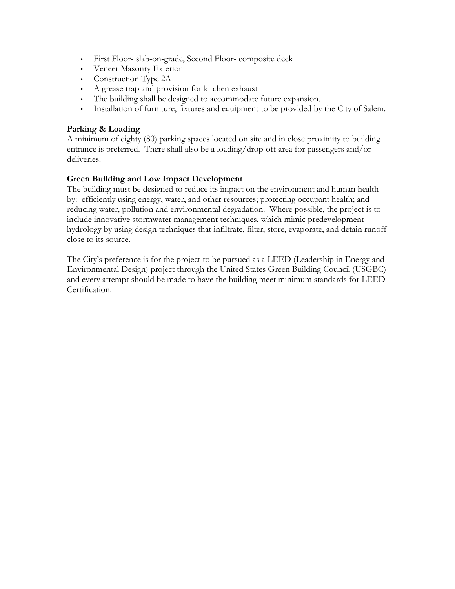- First Floor- slab-on-grade, Second Floor- composite deck
- Veneer Masonry Exterior
- Construction Type 2A
- A grease trap and provision for kitchen exhaust
- The building shall be designed to accommodate future expansion.
- Installation of furniture, fixtures and equipment to be provided by the City of Salem.

#### **Parking & Loading**

A minimum of eighty (80) parking spaces located on site and in close proximity to building entrance is preferred. There shall also be a loading/drop-off area for passengers and/or deliveries.

#### **Green Building and Low Impact Development**

The building must be designed to reduce its impact on the environment and human health by: efficiently using energy, water, and other resources; protecting occupant health; and reducing water, pollution and environmental degradation. Where possible, the project is to include innovative stormwater management techniques, which mimic predevelopment hydrology by using design techniques that infiltrate, filter, store, evaporate, and detain runoff close to its source.

The City's preference is for the project to be pursued as a LEED (Leadership in Energy and Environmental Design) project through the United States Green Building Council (USGBC) and every attempt should be made to have the building meet minimum standards for LEED Certification.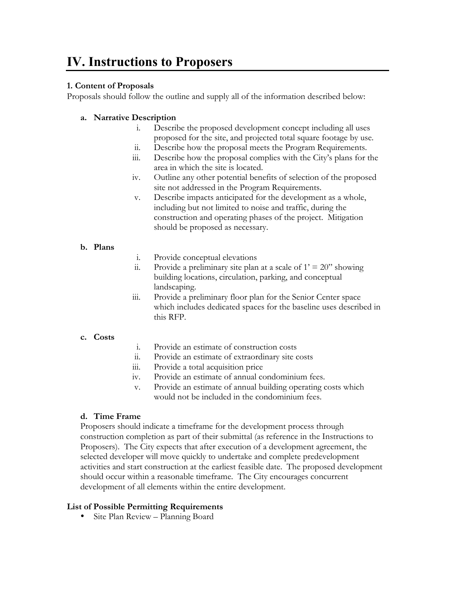### **IV. Instructions to Proposers**

#### **1. Content of Proposals**

Proposals should follow the outline and supply all of the information described below:

#### **a. Narrative Description**

- i. Describe the proposed development concept including all uses proposed for the site, and projected total square footage by use.
- ii. Describe how the proposal meets the Program Requirements.
- iii. Describe how the proposal complies with the City's plans for the area in which the site is located.
- iv. Outline any other potential benefits of selection of the proposed site not addressed in the Program Requirements.
- v. Describe impacts anticipated for the development as a whole, including but not limited to noise and traffic, during the construction and operating phases of the project. Mitigation should be proposed as necessary.

#### **b. Plans**

- i. Provide conceptual elevations
- ii. Provide a preliminary site plan at a scale of  $1' = 20$ " showing building locations, circulation, parking, and conceptual landscaping.
- iii. Provide a preliminary floor plan for the Senior Center space which includes dedicated spaces for the baseline uses described in this RFP.

#### **c. Costs**

- i. Provide an estimate of construction costs
- ii. Provide an estimate of extraordinary site costs
- iii. Provide a total acquisition price
- iv. Provide an estimate of annual condominium fees.
- v. Provide an estimate of annual building operating costs which would not be included in the condominium fees.

#### **d. Time Frame**

Proposers should indicate a timeframe for the development process through construction completion as part of their submittal (as reference in the Instructions to Proposers). The City expects that after execution of a development agreement, the selected developer will move quickly to undertake and complete predevelopment activities and start construction at the earliest feasible date. The proposed development should occur within a reasonable timeframe. The City encourages concurrent development of all elements within the entire development.

#### **List of Possible Permitting Requirements**

• Site Plan Review – Planning Board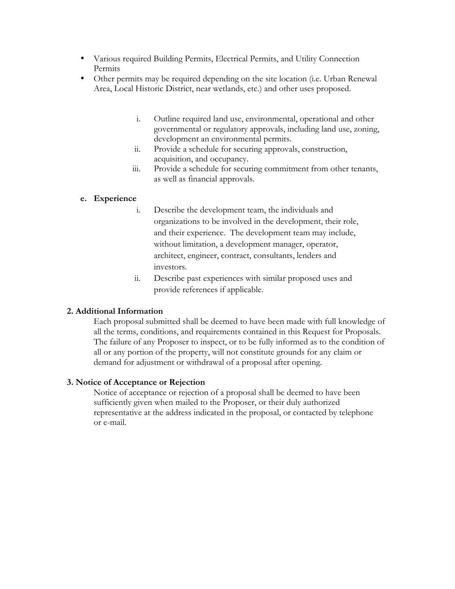- Various required Building Permits, Electrical Permits, and Utility Connection Permits
- Other permits may be required depending on the site location (i.e. Urban Renewal Area, Local Historic District, near wetlands, etc.) and other uses proposed.
	- i. Outline required land use, environmental, operational and other governmental or regulatory approvals, including land use, zoning, development an environmental permits.
	- ii. Provide a schedule for securing approvals, construction, acquisition, and occupancy.
	- iii. Provide a schedule for securing commitment from other tenants, as well as financial approvals.

#### **e. Experience**

- i. Describe the development team, the individuals and organizations to be involved in the development, their role, and their experience. The development team may include, without limitation, a development manager, operator, architect, engineer, contract, consultants, lenders and investors.
- ii. Describe past experiences with similar proposed uses and provide references if applicable.

#### **2. Additional Information**

Each proposal submitted shall be deemed to have been made with full knowledge of all the terms, conditions, and requirements contained in this Request for Proposals. The failure of any Proposer to inspect, or to be fully informed as to the condition of all or any portion of the property, will not constitute grounds for any claim or demand for adjustment or withdrawal of a proposal after opening.

#### **3. Notice of Acceptance or Rejection**

Notice of acceptance or rejection of a proposal shall be deemed to have been sufficiently given when mailed to the Proposer, or their duly authorized representative at the address indicated in the proposal, or contacted by telephone or e-mail.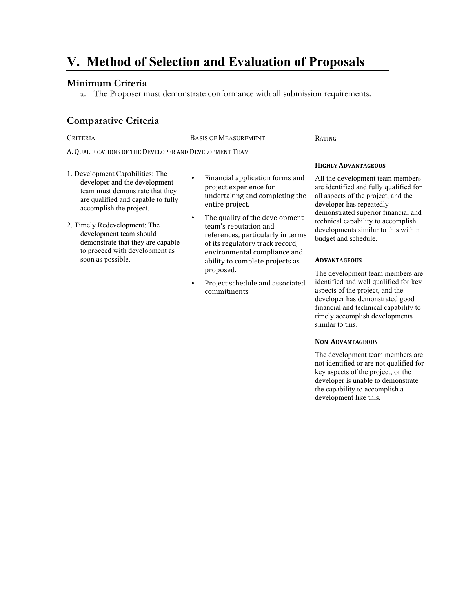# **V. Method of Selection and Evaluation of Proposals**

#### **Minimum Criteria**

a. The Proposer must demonstrate conformance with all submission requirements.

#### **Comparative Criteria**

| <b>CRITERIA</b>                                                                                                                                                                                                                                                                                                              | <b>BASIS OF MEASUREMENT</b>                                                                                                                                                                                                                                                                                                                                                                                                | RATING                                                                                                                                                                                                                                                                                                                                                                                                                                                                                                                                                                                                                                                                                                                                                                                                                                             |  |  |
|------------------------------------------------------------------------------------------------------------------------------------------------------------------------------------------------------------------------------------------------------------------------------------------------------------------------------|----------------------------------------------------------------------------------------------------------------------------------------------------------------------------------------------------------------------------------------------------------------------------------------------------------------------------------------------------------------------------------------------------------------------------|----------------------------------------------------------------------------------------------------------------------------------------------------------------------------------------------------------------------------------------------------------------------------------------------------------------------------------------------------------------------------------------------------------------------------------------------------------------------------------------------------------------------------------------------------------------------------------------------------------------------------------------------------------------------------------------------------------------------------------------------------------------------------------------------------------------------------------------------------|--|--|
| A. QUALIFICATIONS OF THE DEVELOPER AND DEVELOPMENT TEAM                                                                                                                                                                                                                                                                      |                                                                                                                                                                                                                                                                                                                                                                                                                            |                                                                                                                                                                                                                                                                                                                                                                                                                                                                                                                                                                                                                                                                                                                                                                                                                                                    |  |  |
| 1. Development Capabilities: The<br>developer and the development<br>team must demonstrate that they<br>are qualified and capable to fully<br>accomplish the project.<br>2. Timely Redevelopment: The<br>development team should<br>demonstrate that they are capable<br>to proceed with development as<br>soon as possible. | Financial application forms and<br>$\bullet$<br>project experience for<br>undertaking and completing the<br>entire project.<br>The quality of the development<br>$\bullet$<br>team's reputation and<br>references, particularly in terms<br>of its regulatory track record,<br>environmental compliance and<br>ability to complete projects as<br>proposed.<br>Project schedule and associated<br>$\bullet$<br>commitments | <b>HIGHLY ADVANTAGEOUS</b><br>All the development team members<br>are identified and fully qualified for<br>all aspects of the project, and the<br>developer has repeatedly<br>demonstrated superior financial and<br>technical capability to accomplish<br>developments similar to this within<br>budget and schedule.<br><b>ADVANTAGEOUS</b><br>The development team members are<br>identified and well qualified for key<br>aspects of the project, and the<br>developer has demonstrated good<br>financial and technical capability to<br>timely accomplish developments<br>similar to this.<br><b>NON-ADVANTAGEOUS</b><br>The development team members are<br>not identified or are not qualified for<br>key aspects of the project, or the<br>developer is unable to demonstrate<br>the capability to accomplish a<br>development like this, |  |  |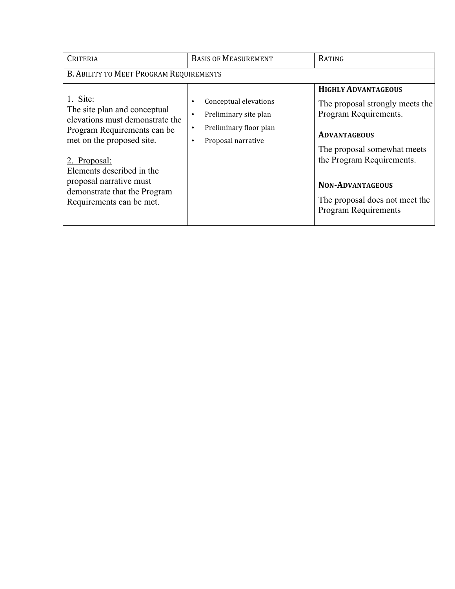| <b>CRITERIA</b>                                                                                                                                                                                                                                                             | <b>BASIS OF MEASUREMENT</b>                                                                                   | RATING                                                                                                                                                                                                                                                                |
|-----------------------------------------------------------------------------------------------------------------------------------------------------------------------------------------------------------------------------------------------------------------------------|---------------------------------------------------------------------------------------------------------------|-----------------------------------------------------------------------------------------------------------------------------------------------------------------------------------------------------------------------------------------------------------------------|
| B. ABILITY TO MEET PROGRAM REQUIREMENTS                                                                                                                                                                                                                                     |                                                                                                               |                                                                                                                                                                                                                                                                       |
| 1. Site:<br>The site plan and conceptual<br>elevations must demonstrate the<br>Program Requirements can be<br>met on the proposed site.<br>2. Proposal:<br>Elements described in the<br>proposal narrative must<br>demonstrate that the Program<br>Requirements can be met. | Conceptual elevations<br>Preliminary site plan<br>٠<br>Preliminary floor plan<br>٠<br>Proposal narrative<br>٠ | <b>HIGHLY ADVANTAGEOUS</b><br>The proposal strongly meets the<br>Program Requirements.<br><b>ADVANTAGEOUS</b><br>The proposal somewhat meets<br>the Program Requirements.<br><b>NON-ADVANTAGEOUS</b><br>The proposal does not meet the<br><b>Program Requirements</b> |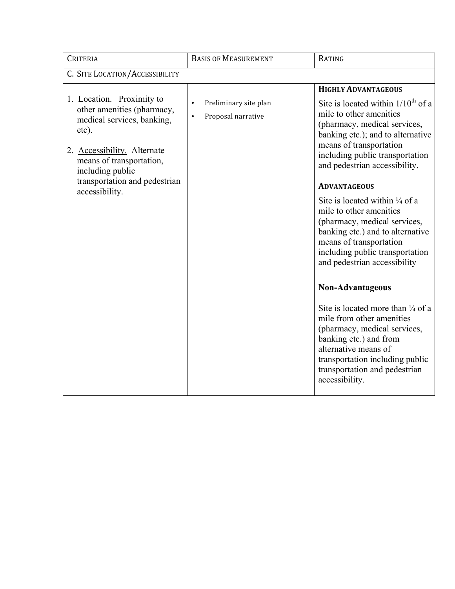| <b>CRITERIA</b>                                                                                                                                                                                                                  | <b>BASIS OF MEASUREMENT</b>                                           | RATING                                                                                                                                                                                                                                                                                                                                                                                                                                                                                                                                                                                                                                                                                                                                                                                                         |
|----------------------------------------------------------------------------------------------------------------------------------------------------------------------------------------------------------------------------------|-----------------------------------------------------------------------|----------------------------------------------------------------------------------------------------------------------------------------------------------------------------------------------------------------------------------------------------------------------------------------------------------------------------------------------------------------------------------------------------------------------------------------------------------------------------------------------------------------------------------------------------------------------------------------------------------------------------------------------------------------------------------------------------------------------------------------------------------------------------------------------------------------|
| C. SITE LOCATION/ACCESSIBILITY                                                                                                                                                                                                   |                                                                       |                                                                                                                                                                                                                                                                                                                                                                                                                                                                                                                                                                                                                                                                                                                                                                                                                |
| 1. Location. Proximity to<br>other amenities (pharmacy,<br>medical services, banking,<br>etc).<br>2. Accessibility. Alternate<br>means of transportation,<br>including public<br>transportation and pedestrian<br>accessibility. | Preliminary site plan<br>$\bullet$<br>Proposal narrative<br>$\bullet$ | <b>HIGHLY ADVANTAGEOUS</b><br>Site is located within $1/10^{th}$ of a<br>mile to other amenities<br>(pharmacy, medical services,<br>banking etc.); and to alternative<br>means of transportation<br>including public transportation<br>and pedestrian accessibility.<br><b>ADVANTAGEOUS</b><br>Site is located within $\frac{1}{4}$ of a<br>mile to other amenities<br>(pharmacy, medical services,<br>banking etc.) and to alternative<br>means of transportation<br>including public transportation<br>and pedestrian accessibility<br>Non-Advantageous<br>Site is located more than $\frac{1}{4}$ of a<br>mile from other amenities<br>(pharmacy, medical services,<br>banking etc.) and from<br>alternative means of<br>transportation including public<br>transportation and pedestrian<br>accessibility. |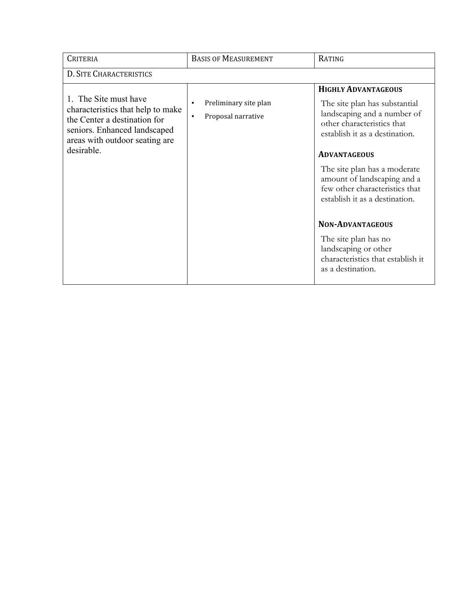| CRITERIA                                                                                                                                                                   | <b>BASIS OF MEASUREMENT</b>                                           | RATING                                                                                                                                                                                                                                                                                                               |
|----------------------------------------------------------------------------------------------------------------------------------------------------------------------------|-----------------------------------------------------------------------|----------------------------------------------------------------------------------------------------------------------------------------------------------------------------------------------------------------------------------------------------------------------------------------------------------------------|
| D. SITE CHARACTERISTICS                                                                                                                                                    |                                                                       |                                                                                                                                                                                                                                                                                                                      |
| 1. The Site must have<br>characteristics that help to make<br>the Center a destination for<br>seniors. Enhanced landscaped<br>areas with outdoor seating are<br>desirable. | Preliminary site plan<br>$\bullet$<br>Proposal narrative<br>$\bullet$ | <b>HIGHLY ADVANTAGEOUS</b><br>The site plan has substantial<br>landscaping and a number of<br>other characteristics that<br>establish it as a destination.<br><b>ADVANTAGEOUS</b><br>The site plan has a moderate<br>amount of landscaping and a<br>few other characteristics that<br>establish it as a destination. |
|                                                                                                                                                                            |                                                                       | <b>NON-ADVANTAGEOUS</b><br>The site plan has no<br>landscaping or other<br>characteristics that establish it<br>as a destination.                                                                                                                                                                                    |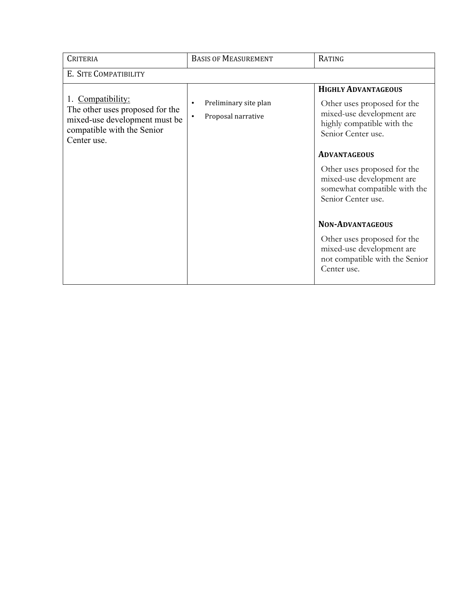| <b>CRITERIA</b>                                                                                                                    | <b>BASIS OF MEASUREMENT</b>                                   | <b>RATING</b>                                                                                                                                                                                                                                                                                                                                                                                                               |
|------------------------------------------------------------------------------------------------------------------------------------|---------------------------------------------------------------|-----------------------------------------------------------------------------------------------------------------------------------------------------------------------------------------------------------------------------------------------------------------------------------------------------------------------------------------------------------------------------------------------------------------------------|
| E. SITE COMPATIBILITY                                                                                                              |                                                               |                                                                                                                                                                                                                                                                                                                                                                                                                             |
| 1. Compatibility:<br>The other uses proposed for the<br>mixed-use development must be<br>compatible with the Senior<br>Center use. | Preliminary site plan<br>٠<br>Proposal narrative<br>$\bullet$ | <b>HIGHLY ADVANTAGEOUS</b><br>Other uses proposed for the<br>mixed-use development are<br>highly compatible with the<br>Senior Center use.<br><b>ADVANTAGEOUS</b><br>Other uses proposed for the<br>mixed-use development are<br>somewhat compatible with the<br>Senior Center use.<br><b>NON-ADVANTAGEOUS</b><br>Other uses proposed for the<br>mixed-use development are<br>not compatible with the Senior<br>Center use. |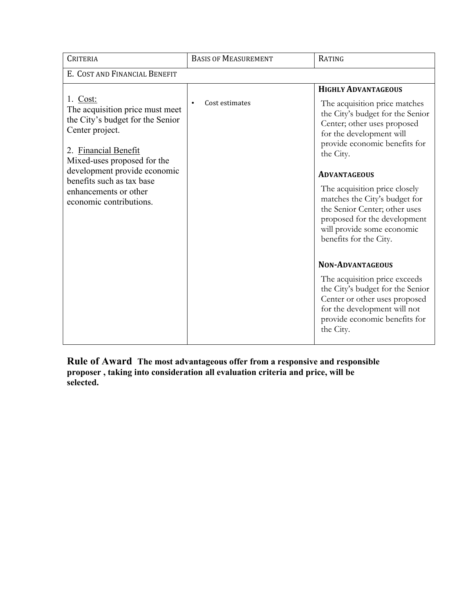| <b>CRITERIA</b>                                                                                                                                                                                                                                                            | <b>BASIS OF MEASUREMENT</b> | RATING                                                                                                                                                                                                                                                                                                                                                                                                                                                                                 |
|----------------------------------------------------------------------------------------------------------------------------------------------------------------------------------------------------------------------------------------------------------------------------|-----------------------------|----------------------------------------------------------------------------------------------------------------------------------------------------------------------------------------------------------------------------------------------------------------------------------------------------------------------------------------------------------------------------------------------------------------------------------------------------------------------------------------|
| E. COST AND FINANCIAL BENEFIT                                                                                                                                                                                                                                              |                             |                                                                                                                                                                                                                                                                                                                                                                                                                                                                                        |
| 1. Cost:<br>The acquisition price must meet<br>the City's budget for the Senior<br>Center project.<br>2. Financial Benefit<br>Mixed-uses proposed for the<br>development provide economic<br>benefits such as tax base<br>enhancements or other<br>economic contributions. | Cost estimates              | <b>HIGHLY ADVANTAGEOUS</b><br>The acquisition price matches<br>the City's budget for the Senior<br>Center; other uses proposed<br>for the development will<br>provide economic benefits for<br>the City.<br><b>ADVANTAGEOUS</b><br>The acquisition price closely<br>matches the City's budget for<br>the Senior Center; other uses<br>proposed for the development<br>will provide some economic<br>benefits for the City.<br><b>NON-ADVANTAGEOUS</b><br>The acquisition price exceeds |
|                                                                                                                                                                                                                                                                            |                             | the City's budget for the Senior<br>Center or other uses proposed<br>for the development will not<br>provide economic benefits for<br>the City.                                                                                                                                                                                                                                                                                                                                        |

**Rule of Award The most advantageous offer from a responsive and responsible proposer , taking into consideration all evaluation criteria and price, will be selected.**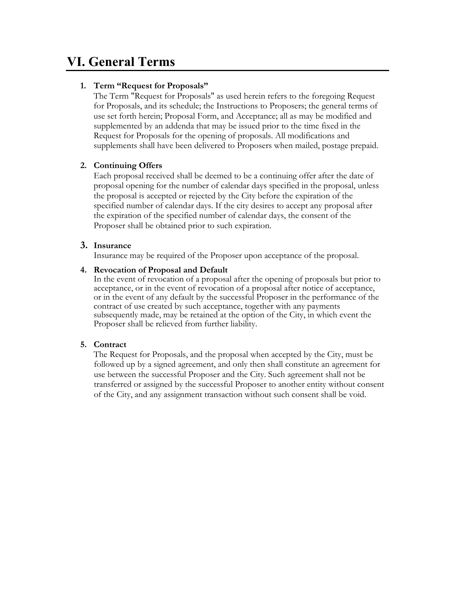### **VI. General Terms**

#### **1. Term "Request for Proposals"**

The Term "Request for Proposals" as used herein refers to the foregoing Request for Proposals, and its schedule; the Instructions to Proposers; the general terms of use set forth herein; Proposal Form, and Acceptance; all as may be modified and supplemented by an addenda that may be issued prior to the time fixed in the Request for Proposals for the opening of proposals. All modifications and supplements shall have been delivered to Proposers when mailed, postage prepaid.

#### **2. Continuing Offers**

Each proposal received shall be deemed to be a continuing offer after the date of proposal opening for the number of calendar days specified in the proposal, unless the proposal is accepted or rejected by the City before the expiration of the specified number of calendar days. If the city desires to accept any proposal after the expiration of the specified number of calendar days, the consent of the Proposer shall be obtained prior to such expiration.

#### **3. Insurance**

Insurance may be required of the Proposer upon acceptance of the proposal.

#### **4. Revocation of Proposal and Default**

In the event of revocation of a proposal after the opening of proposals but prior to acceptance, or in the event of revocation of a proposal after notice of acceptance, or in the event of any default by the successful Proposer in the performance of the contract of use created by such acceptance, together with any payments subsequently made, may be retained at the option of the City, in which event the Proposer shall be relieved from further liability.

#### **5. Contract**

The Request for Proposals, and the proposal when accepted by the City, must be followed up by a signed agreement, and only then shall constitute an agreement for use between the successful Proposer and the City. Such agreement shall not be transferred or assigned by the successful Proposer to another entity without consent of the City, and any assignment transaction without such consent shall be void.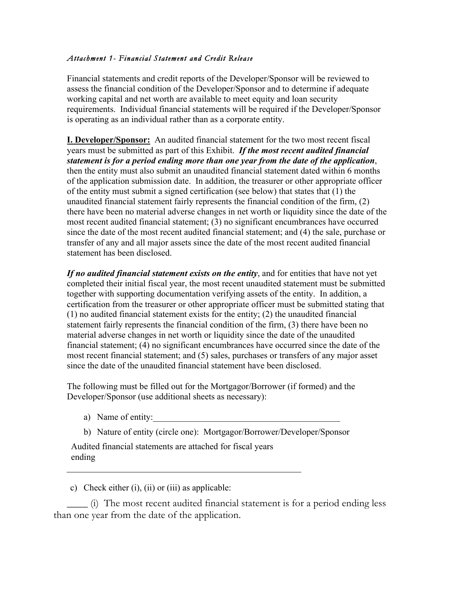#### *Attachment 1- Financial Statement and Credit Release*

Financial statements and credit reports of the Developer/Sponsor will be reviewed to assess the financial condition of the Developer/Sponsor and to determine if adequate working capital and net worth are available to meet equity and loan security requirements. Individual financial statements will be required if the Developer/Sponsor is operating as an individual rather than as a corporate entity.

**I. Developer/Sponsor:** An audited financial statement for the two most recent fiscal years must be submitted as part of this Exhibit. *If the most recent audited financial statement is for a period ending more than one year from the date of the application*, then the entity must also submit an unaudited financial statement dated within 6 months of the application submission date. In addition, the treasurer or other appropriate officer of the entity must submit a signed certification (see below) that states that (1) the unaudited financial statement fairly represents the financial condition of the firm, (2) there have been no material adverse changes in net worth or liquidity since the date of the most recent audited financial statement; (3) no significant encumbrances have occurred since the date of the most recent audited financial statement; and (4) the sale, purchase or transfer of any and all major assets since the date of the most recent audited financial statement has been disclosed.

*If no audited financial statement exists on the entity*, and for entities that have not yet completed their initial fiscal year, the most recent unaudited statement must be submitted together with supporting documentation verifying assets of the entity. In addition, a certification from the treasurer or other appropriate officer must be submitted stating that (1) no audited financial statement exists for the entity; (2) the unaudited financial statement fairly represents the financial condition of the firm, (3) there have been no material adverse changes in net worth or liquidity since the date of the unaudited financial statement; (4) no significant encumbrances have occurred since the date of the most recent financial statement; and (5) sales, purchases or transfers of any major asset since the date of the unaudited financial statement have been disclosed.

The following must be filled out for the Mortgagor/Borrower (if formed) and the Developer/Sponsor (use additional sheets as necessary):

- a) Name of entity:
- b) Nature of entity (circle one): Mortgagor/Borrower/Developer/Sponsor

Audited financial statements are attached for fiscal years ending

c) Check either (i), (ii) or (iii) as applicable:

\_\_\_\_ (i) The most recent audited financial statement is for a period ending less than one year from the date of the application.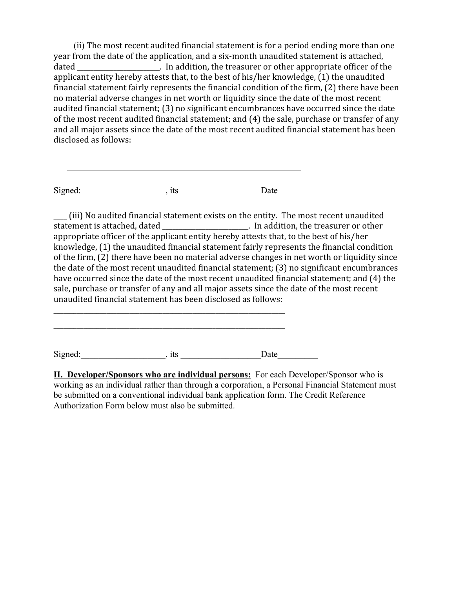\_\_\_\_ (ii) The
most
recent
audited
financial
statement
is
for
a
period
ending
more
than
one year
from
the
date
of
the
application,
and
a
six‐month
unaudited
statement
is
attached, dated \_\_\_\_\_\_\_\_\_\_\_\_\_\_\_\_\_\_\_\_. In addition, the treasurer or other appropriate officer of the applicant
entity
hereby
attests
that,
to
the
best
of
his/her
knowledge,
(1)
the
unaudited financial
statement
fairly
represents
the
financial
condition
of
the
firm,
(2)
there
have
been no
material
adverse
changes
in
net
worth
or
liquidity
since
the
date
of
the
most
recent audited
financial
statement;
(3)
no
significant
encumbrances
have
occurred
since
the
date of the most recent audited financial statement; and (4) the sale, purchase or transfer of any and
all
major
assets
since
the
date
of
the
most
recent
audited
financial
statement
has
been disclosed
as
follows:

Signed:\_\_\_\_\_\_\_\_\_\_\_\_\_\_\_\_\_\_\_, its \_\_\_\_\_\_\_\_\_\_\_\_\_\_\_\_\_\_Date\_\_\_\_\_\_\_\_\_

<u> 1980 - Johann Barbara, martxa amerikan bashkar (</u>

\_\_\_\_
(iii)
No
audited
financial
statement
exists
on
the
entity.

The
most
recent
unaudited In addition, the treasurer or other appropriate officer of the applicant entity hereby attests that, to the best of his/her knowledge, (1) the unaudited financial statement fairly represents the financial condition of the firm, (2) there have been no material adverse changes in net worth or liquidity since the
date
of
the
most
recent
unaudited
financial
statement;
(3)
no
significant
encumbrances have occurred since the date of the most recent unaudited financial statement; and (4) the sale,
purchase
or
transfer
of
any
and
all
major
assets
since
the
date
of
the
most
recent unaudited
financial
statement
has
been
disclosed
as
follows:

Signed:\_\_\_\_\_\_\_\_\_\_\_\_\_\_\_\_\_\_\_, its \_\_\_\_\_\_\_\_\_\_\_\_\_\_\_\_\_\_Date\_\_\_\_\_\_\_\_\_

\_\_\_\_\_\_\_\_\_\_\_\_\_\_\_\_\_\_\_\_\_\_\_\_\_\_\_\_\_\_\_\_\_\_\_\_\_\_\_\_\_\_\_\_\_\_\_\_\_\_\_\_\_\_\_\_\_\_\_\_\_\_\_\_\_\_\_\_\_\_

\_\_\_\_\_\_\_\_\_\_\_\_\_\_\_\_\_\_\_\_\_\_\_\_\_\_\_\_\_\_\_\_\_\_\_\_\_\_\_\_\_\_\_\_\_\_\_\_\_\_\_\_\_\_\_\_\_\_\_\_\_\_\_\_\_\_\_\_\_\_

**II. Developer/Sponsors who are individual persons:** For each Developer/Sponsor who is working as an individual rather than through a corporation, a Personal Financial Statement must be submitted on a conventional individual bank application form. The Credit Reference Authorization Form below must also be submitted.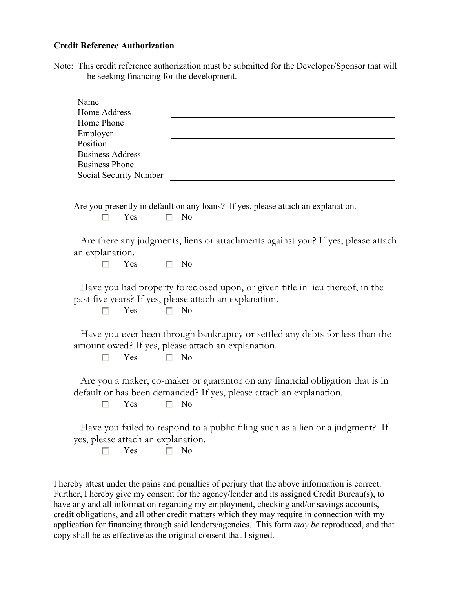#### **Credit Reference Authorization**

Note: This credit reference authorization must be submitted for the Developer/Sponsor that will be seeking financing for the development.

| Name                    |                                                                                                                                                      |
|-------------------------|------------------------------------------------------------------------------------------------------------------------------------------------------|
| Home Address            |                                                                                                                                                      |
| Home Phone              |                                                                                                                                                      |
| Employer                |                                                                                                                                                      |
| Position                |                                                                                                                                                      |
| <b>Business Address</b> |                                                                                                                                                      |
| <b>Business Phone</b>   |                                                                                                                                                      |
| Social Security Number  |                                                                                                                                                      |
| Yes<br>П                | Are you presently in default on any loans? If yes, please attach an explanation.<br>N <sub>0</sub>                                                   |
| an explanation.         | Are there any judgments, liens or attachments against you? If yes, please attach                                                                     |
| Yes<br>п                | - No                                                                                                                                                 |
|                         |                                                                                                                                                      |
| Yes                     | Have you had property foreclosed upon, or given title in lieu thereof, in the<br>past five years? If yes, please attach an explanation.<br>$\Box$ No |
|                         | Have you ever been through bankruptcy or settled any debts for less than the<br>amount owed? If yes, please attach an explanation.                   |

 $\Box$  $Yes \qquad \Box No$ 

Are you a maker, co-maker or guarantor on any financial obligation that is in default or has been demanded? If yes, please attach an explanation.

 $\Box$  $Yes \qquad \Box No$ 

Have you failed to respond to a public filing such as a lien or a judgment? If yes, please attach an explanation.

 $\Box$  $Yes \square No$ 

I hereby attest under the pains and penalties of perjury that the above information is correct. Further, I hereby give my consent for the agency/lender and its assigned Credit Bureau(s), to have any and all information regarding my employment, checking and/or savings accounts, credit obligations, and all other credit matters which they may require in connection with my application for financing through said lenders/agencies. This form *may be* reproduced, and that copy shall be as effective as the original consent that I signed.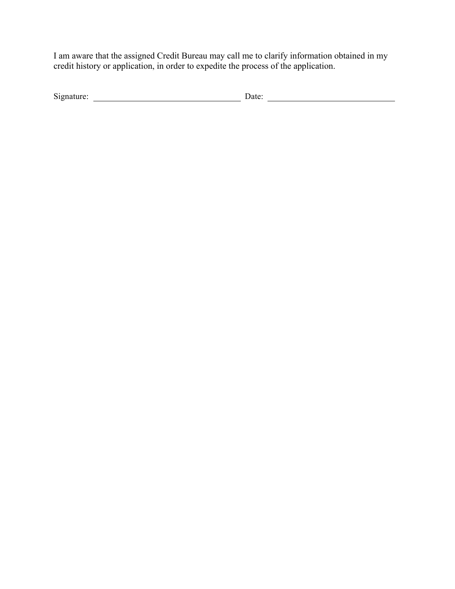I am aware that the assigned Credit Bureau may call me to clarify information obtained in my credit history or application, in order to expedite the process of the application.

| Signature | ate. |  |
|-----------|------|--|
|           |      |  |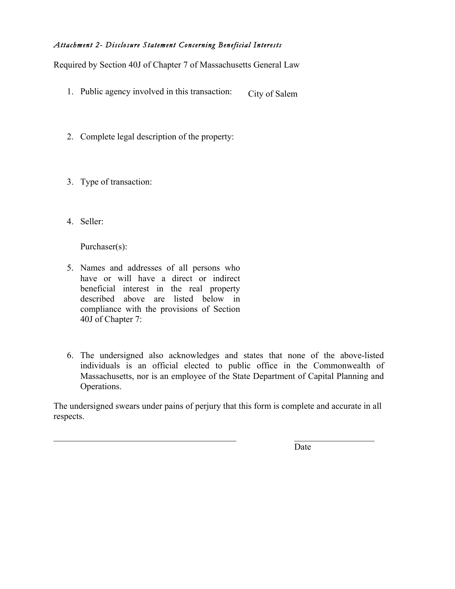#### *Attachment 2- Disclosure Statement Concerning Beneficial Interests*

Required by Section 40J of Chapter 7 of Massachusetts General Law

- 1. Public agency involved in this transaction: City of Salem
- 2. Complete legal description of the property:
- 3. Type of transaction:
- 4. Seller:

Purchaser(s):

- 5. Names and addresses of all persons who have or will have a direct or indirect beneficial interest in the real property described above are listed below in compliance with the provisions of Section 40J of Chapter 7:
- 6. The undersigned also acknowledges and states that none of the above-listed individuals is an official elected to public office in the Commonwealth of Massachusetts, nor is an employee of the State Department of Capital Planning and Operations.

The undersigned swears under pains of perjury that this form is complete and accurate in all respects.

 $\mathcal{L}_\text{max}$  and the contract of the contract of the contract of the contract of the contract of the contract of

Date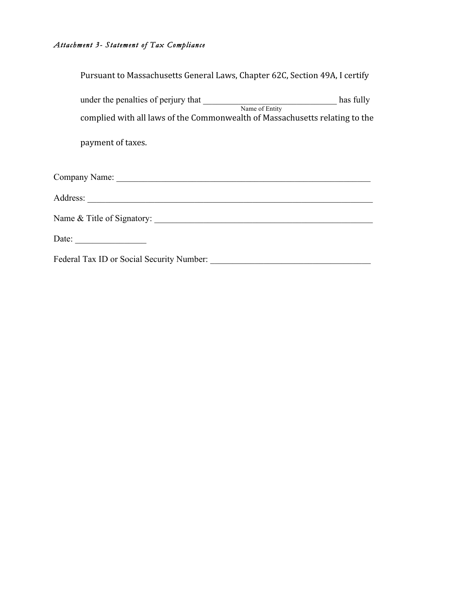#### *Attachment 3- Statement of Tax Compliance*

| Pursuant to Massachusetts General Laws, Chapter 62C, Section 49A, I certify |           |
|-----------------------------------------------------------------------------|-----------|
| under the penalties of perjury that Name of Entity                          | has fully |
| complied with all laws of the Commonwealth of Massachusetts relating to the |           |
| payment of taxes.                                                           |           |
|                                                                             |           |
|                                                                             |           |
|                                                                             |           |
| Date: $\qquad \qquad$                                                       |           |
| Federal Tax ID or Social Security Number:                                   |           |